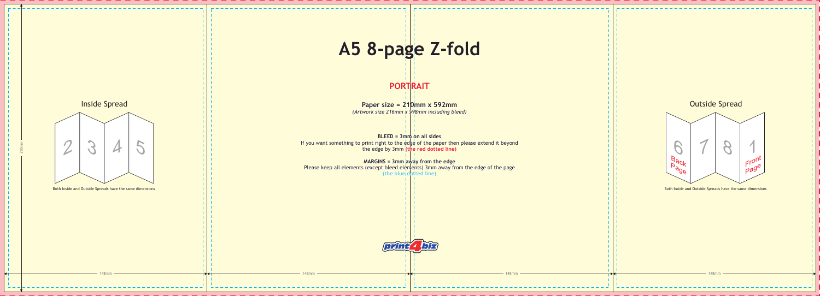